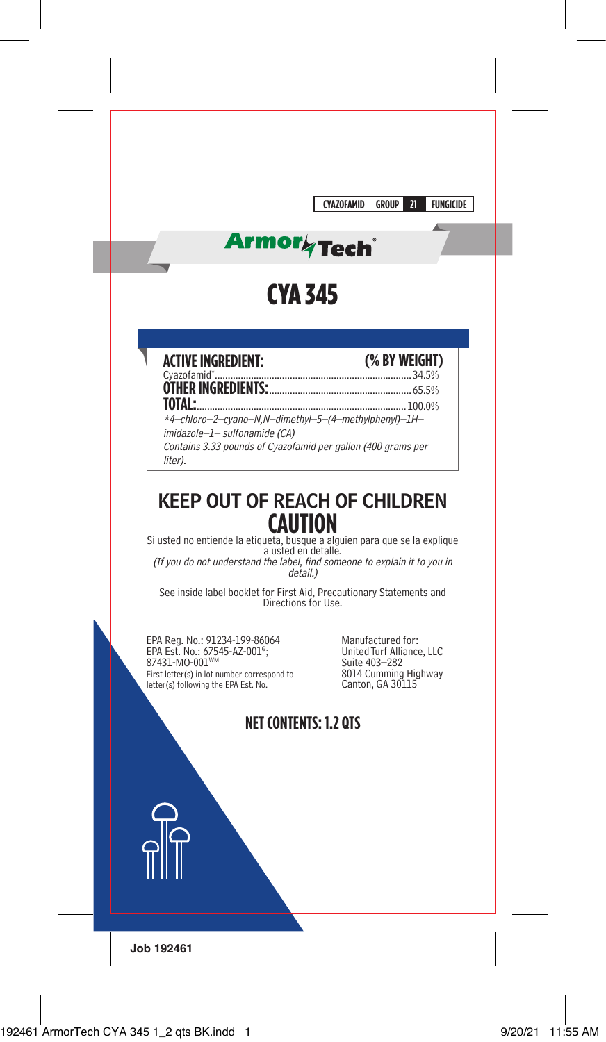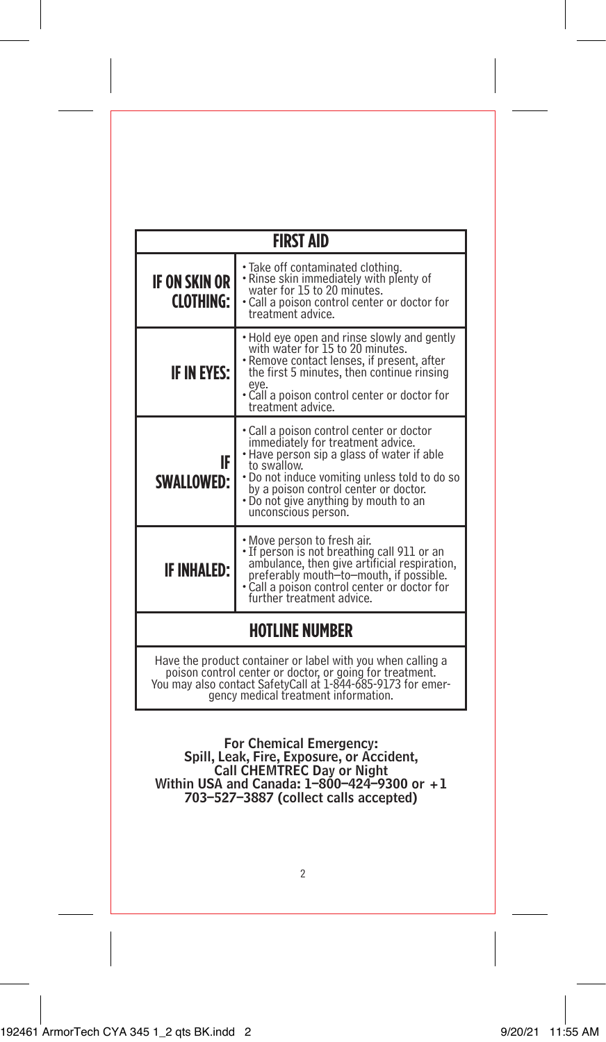| <b>FIRST AID</b>                                                                                                                                                                                                               |                                                                                                                                                                                                                                                                                                      |  |  |
|--------------------------------------------------------------------------------------------------------------------------------------------------------------------------------------------------------------------------------|------------------------------------------------------------------------------------------------------------------------------------------------------------------------------------------------------------------------------------------------------------------------------------------------------|--|--|
| IF ON SKIN OR<br><b>CLOTHING:</b>                                                                                                                                                                                              | • Take off contaminated clothing.<br>• Rinse skin immediately with plenty of<br>water for 15 to 20 minutes.<br>• Call a poison control center or doctor for<br>treatment advice.                                                                                                                     |  |  |
| <b>IF IN EYES:</b>                                                                                                                                                                                                             | • Hold eye open and rinse slowly and gently<br>with water for 15 to 20 minutes.<br>• Remove contact lenses, if present, after<br>the first 5 minutes, then continue rinsing<br>eye.<br>• Call a poison control center or doctor for<br>treatment advice.                                             |  |  |
| IF<br><b>SWALLOWED:</b>                                                                                                                                                                                                        | • Call a poison control center or doctor<br>immediately for treatment advice.<br>• Have person sip a glass of water if able<br>to swallow.<br>. Do not induce vomiting unless told to do so<br>by a poison control center or doctor.<br>. Do not give anything by mouth to an<br>unconscious person. |  |  |
| IF INHALED:                                                                                                                                                                                                                    | • Move person to fresh air.<br>• If person is not breathing call 911 or an<br>ambulance, then give artificial respiration,<br>preferably mouth-to-mouth, if possible.<br>• Call a poison control center or doctor for<br>further treatment advice.                                                   |  |  |
| <b>HOTLINE NUMBER</b>                                                                                                                                                                                                          |                                                                                                                                                                                                                                                                                                      |  |  |
| Have the product container or label with you when calling a<br>poison control center or doctor, or going for treatment.<br>You may also contact SafetyCall at 1-844-685-9173 for emer-<br>gency medical treatment information. |                                                                                                                                                                                                                                                                                                      |  |  |

For Chemical Emergency: Spill, Leak, Fire, Exposure, or Accident, Call CHEMTREC Day or Night Within USA and Canada: 1–800–424–9300 or +1 703–527–3887 (collect calls accepted)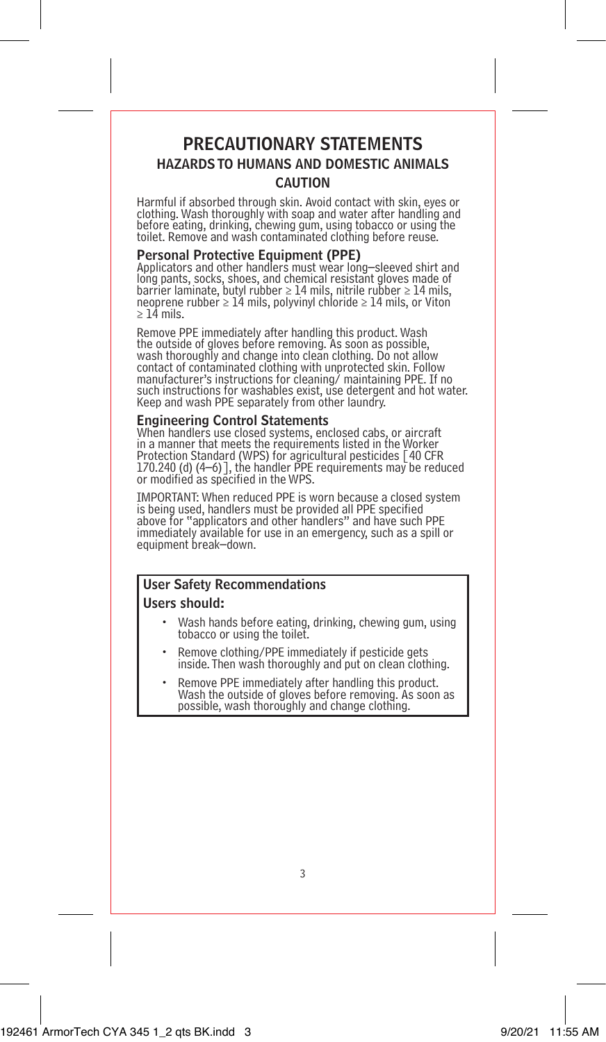## PRECAUTIONARY STATEMENTS HAZARDS TO HUMANS AND DOMESTIC ANIMALS CAUTION

Harmful if absorbed through skin. Avoid contact with skin, eyes or clothing. Wash thoroughly with soap and water after handling and before eating, drinking, chewing gum, using tobacco or using the toilet. Remove and wash contaminated clothing before reuse.

### Personal Protective Equipment (PPE)

Applicators and other handlers must wear long–sleeved shirt and long pants, socks, shoes, and chemical resistant gloves made of barrier laminate, butyl rubber ≥ 14 mils, nitrile rubber ≥ 14 mils, neoprene rubber ≥ 14 mils, polyvinyl chloride ≥ 14 mils, or Viton ≥ 14 mils.

Remove PPE immediately after handling this product. Wash the outside of gloves before removing. As soon as possible, wash thoroughly and change into clean clothing. Do not allow contact of contaminated clothing with unprotected skin. Follow manufacturer's instructions for cleaning/ maintaining PPE. If no such instructions for washables exist, use detergent and hot water. Keep and wash PPE separately from other laundry.

## Engineering Control Statements

When handlers use closed systems, enclosed cabs, or aircraft in a manner that meets the requirements listed in the Worker Protection Standard (WPS) for agricultural pesticides [40 CFR 170.240 (d) (4–6)], the handler PPE requirements may be reduced or modified as specified in the WPS.

IMPORTANT: When reduced PPE is worn because a closed system is being used, handlers must be provided all PPE specified above for "applicators and other handlers" and have such PPE immediately available for use in an emergency, such as a spill or equipment break–down.

## User Safety Recommendations Users should:

- Wash hands before eating, drinking, chewing gum, using tobacco or using the toilet.
- Remove clothing/PPE immediately if pesticide gets inside. Then wash thoroughly and put on clean clothing.
- Remove PPE immediately after handling this product. Wash the outside of gloves before removing. As soon as possible, wash thoroughly and change clothing.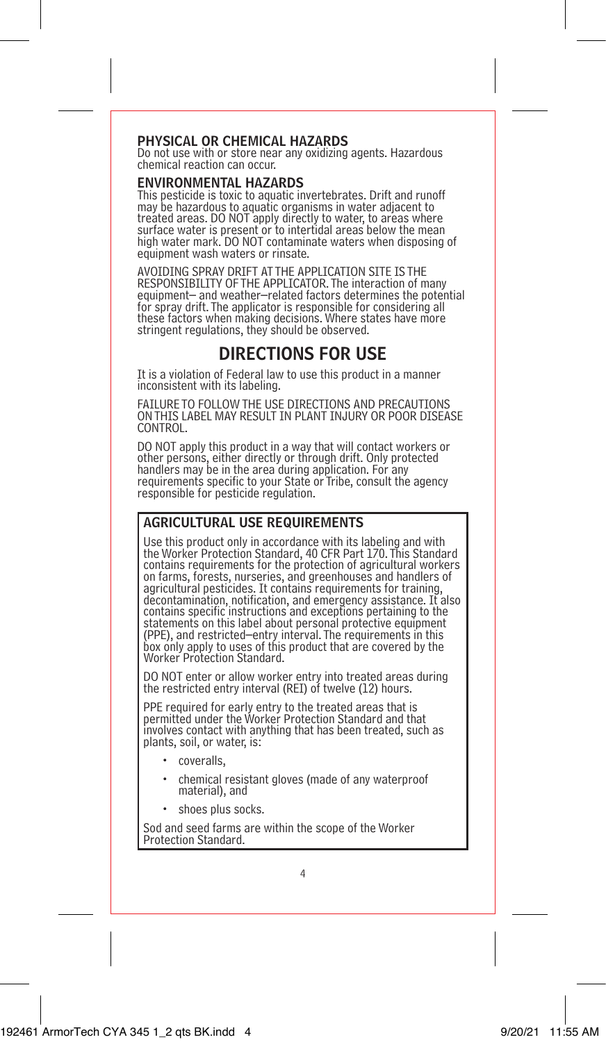## PHYSICAL OR CHEMICAL HAZARDS

Do not use with or store near any oxidizing agents. Hazardous chemical reaction can occur.

## ENVIRONMENTAL HAZARDS

This pesticide is toxic to aquatic invertebrates. Drift and runoff may be hazardous to aquatic organisms in water adjacent to treated areas. DO NOT apply directly to water, to areas where surface water is present or to intertidal areas below the mean high water mark. DO NOT contaminate waters when disposing of equipment wash waters or rinsate.

AVOIDING SPRAY DRIFT AT THE APPLICATION SITE IS THE RESPONSIBILITY OF THE APPLICATOR. The interaction of many equipment– and weather–related factors determines the potential for spray drift. The applicator is responsible for considering all these factors when making decisions. Where states have more stringent regulations, they should be observed.

## DIRECTIONS FOR USE

It is a violation of Federal law to use this product in a manner inconsistent with its labeling.

FAILURE TO FOLLOW THE USE DIRECTIONS AND PRECAUTIONS ON THIS LABEL MAY RESULT IN PLANT INJURY OR POOR DISEASE **CONTROL** 

DO NOT apply this product in a way that will contact workers or other persons, either directly or through drift. Only protected handlers may be in the area during application. For any requirements specific to your State or Tribe, consult the agency responsible for pesticide regulation.

## AGRICULTURAL USE REQUIREMENTS

Use this product only in accordance with its labeling and with the Worker Protection Standard, 40 CFR Part 170. This Standard contains requirements for the protection of agricultural workers on farms, forests, nurseries, and greenhouses and handlers of agricultural pesticides. It contains requirements for training, decontamination, notification, and emergency assistance. It also contains specific instructions and exceptions pertaining to the statements on this label about personal protective equipment (PPE), and restricted–entry interval. The requirements in this box only apply to uses of this product that are covered by the Worker Protection Standard.

DO NOT enter or allow worker entry into treated areas during the restricted entry interval (REI) of twelve (12) hours.

PPE required for early entry to the treated areas that is permitted under the Worker Protection Standard and that involves contact with anything that has been treated, such as plants, soil, or water, is:

- coveralls,
- chemical resistant gloves (made of any waterproof material), and
- shoes plus socks.

Sod and seed farms are within the scope of the Worker Protection Standard.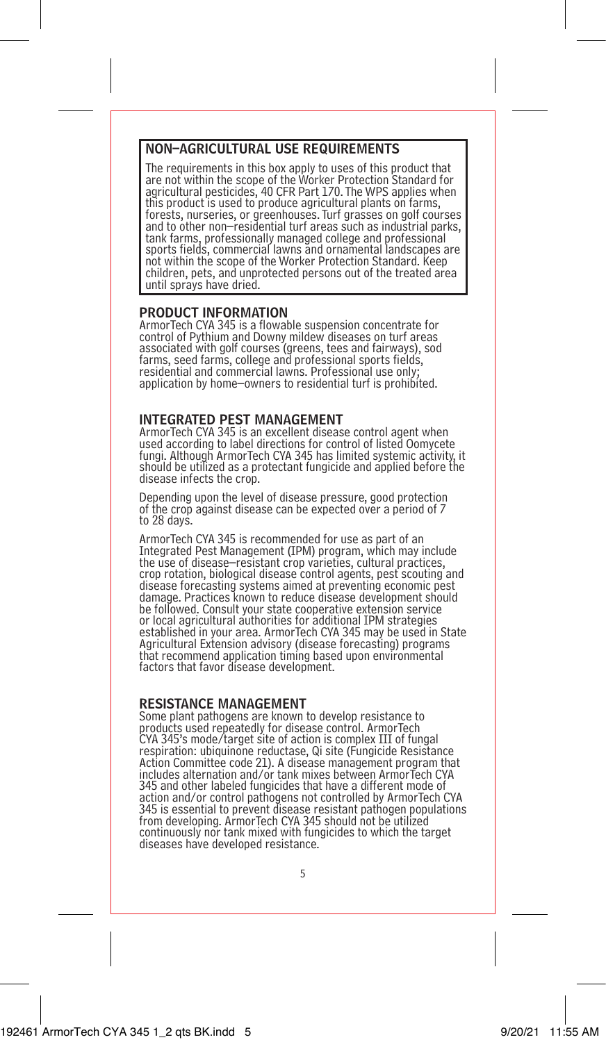## NON–AGRICULTURAL USE REQUIREMENTS

The requirements in this box apply to uses of this product that are not within the scope of the Worker Protection Standard for agricultural pesticides, 40 CFR Part 170. The WPS applies when this product is used to produce agricultural plants on farms, forests, nurseries, or greenhouses. Turf grasses on golf courses and to other non–residential turf areas such as industrial parks, tank farms, professionally managed college and professional sports fields, commercial lawns and ornamental landscapes are not within the scope of the Worker Protection Standard. Keep children, pets, and unprotected persons out of the treated area until sprays have dried.

## PRODUCT INFORMATION

ArmorTech CYA 345 is a flowable suspension concentrate for control of Pythium and Downy mildew diseases on turf areas associated with golf courses (greens, tees and fairways), sod farms, seed farms, college and professional sports fields, residential and commercial lawns. Professional use only; application by home–owners to residential turf is prohibited.

## INTEGRATED PEST MANAGEMENT

ArmorTech CYA 345 is an excellent disease control agent when used according to label directions for control of listed Oomycete fungi. Although ArmorTech CYA 345 has limited systemic activity, it should be utilized as a protectant fungicide and applied before the disease infects the crop.

Depending upon the level of disease pressure, good protection of the crop against disease can be expected over a period of 7 to 28 days.

ArmorTech CYA 345 is recommended for use as part of an Integrated Pest Management (IPM) program, which may include the use of disease–resistant crop varieties, cultural practices, crop rotation, biological disease control agents, pest scouting and disease forecasting systems aimed at preventing economic pest damage. Practices known to reduce disease development should be followed. Consult your state cooperative extension service or local agricultural authorities for additional IPM strategies established in your area. ArmorTech CYA 345 may be used in State Agricultural Extension advisory (disease forecasting) programs that recommend application timing based upon environmental factors that favor disease development.

## RESISTANCE MANAGEMENT

Some plant pathogens are known to develop resistance to products used repeatedly for disease control. ArmorTech CYA 345's mode/target site of action is complex III of fungal respiration: ubiquinone reductase, Qi site (Fungicide Resistance Action Committee code 21). A disease management program that includes alternation and/or tank mixes between ArmorTech CYA 345 and other labeled fungicides that have a different mode of action and/or control pathogens not controlled by ArmorTech CYA 345 is essential to prevent disease resistant pathogen populations from developing. ArmorTech CYA 345 should not be utilized continuously nor tank mixed with fungicides to which the target diseases have developed resistance.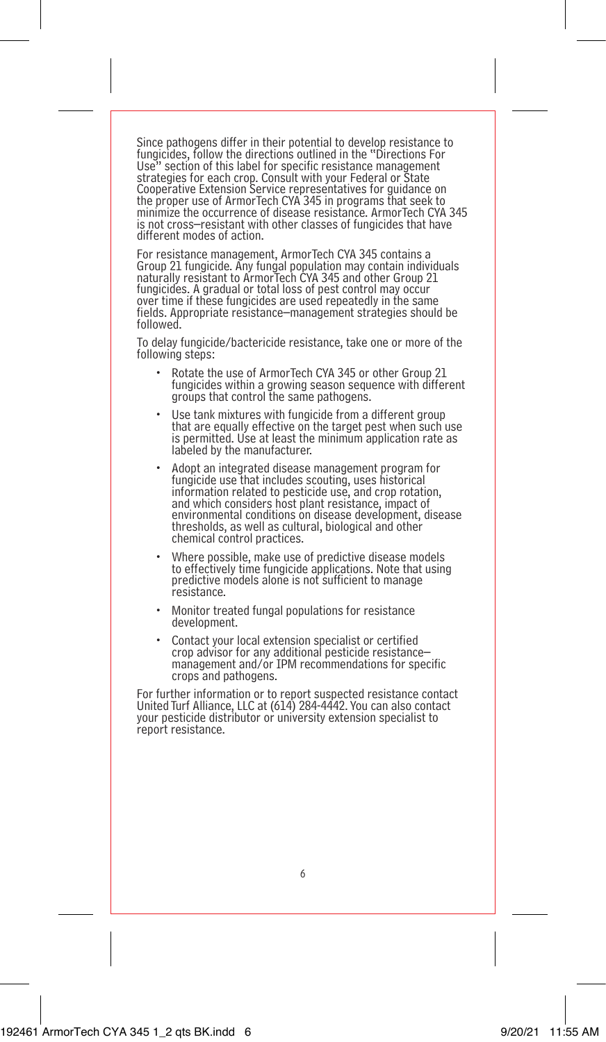Since pathogens differ in their potential to develop resistance to fungicides, follow the directions outlined in the "Directions For<br>Use" section of this label for specific resistance management section of this label for specific resistance management strategies for each crop. Consult with your Federal or State Cooperative Extension Service representatives for guidance on the proper use of ArmorTech CYA 345 in programs that seek to minimize the occurrence of disease resistance. ArmorTech CYA 345 is not cross–resistant with other classes of fungicides that have different modes of action.

For resistance management, ArmorTech CYA 345 contains a Group 21 fungicide. Any fungal population may contain individuals naturally resistant to ArmorTech CYA 345 and other Group 21 fungicides. A gradual or total loss of pest control may occur over time if these fungicides are used repeatedly in the same fields. Appropriate resistance–management strategies should be followed.

To delay fungicide/bactericide resistance, take one or more of the following steps:

- Rotate the use of ArmorTech CYA 345 or other Group 21 fungicides within a growing season sequence with different groups that control the same pathogens.
- Use tank mixtures with fungicide from a different group that are equally effective on the target pest when such use is permitted. Use at least the minimum application rate as labeled by the manufacturer.
- Adopt an integrated disease management program for fungicide use that includes scouting, uses historical information related to pesticide use, and crop rotation, and which considers host plant resistance, impact of environmental conditions on disease development, disease thresholds, as well as cultural, biological and other chemical control practices.
- Where possible, make use of predictive disease models to effectively time fungicide applications. Note that using predictive models alone is not sufficient to manage resistance.
- Monitor treated fungal populations for resistance development.
- Contact your local extension specialist or certified crop advisor for any additional pesticide resistance– management and/or IPM recommendations for specific crops and pathogens.

For further information or to report suspected resistance contact United Turf Alliance, LLC at (614) 284-4442. You can also contact your pesticide distributor or university extension specialist to report resistance.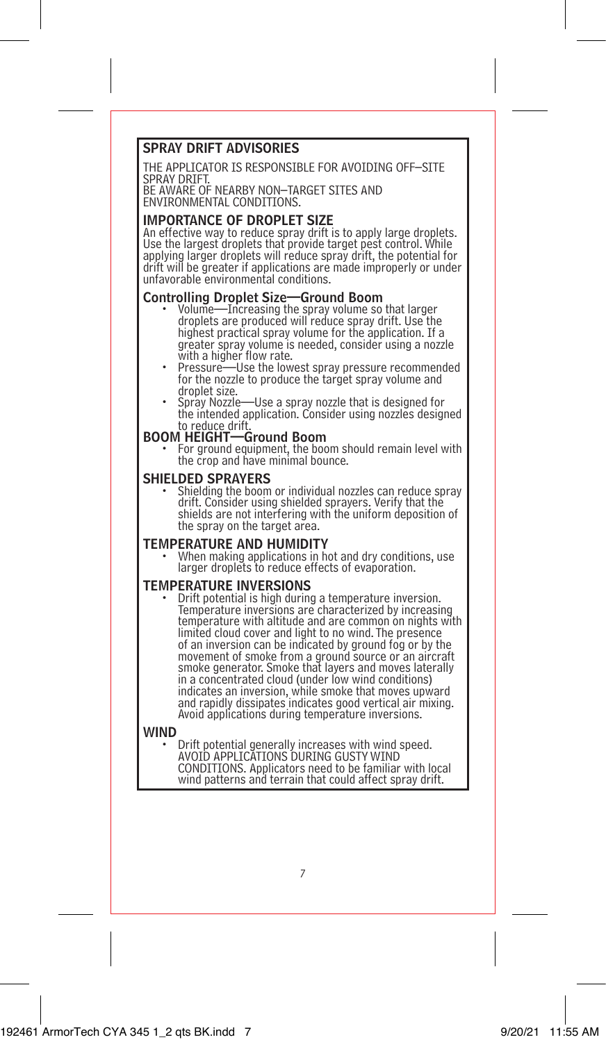## SPRAY DRIFT ADVISORIES

THE APPLICATOR IS RESPONSIBLE FOR AVOIDING OFF–SITE SPRAY DRIFT. BE AWARE OF NEARBY NON–TARGET SITES AND

ENVIRONMENTAL CONDITIONS.

## IMPORTANCE OF DROPLET SIZE

An effective way to reduce spray drift is to apply large droplets. Use the largest droplets that provide target pest control. While applying larger droplets will reduce spray drift, the potential for drift will be greater if applications are made improperly or under unfavorable environmental conditions.

## Controlling Droplet Size—Ground Boom<br>• Volume—Increasing the spray volume so that larger

- droplets are produced will reduce spray drift. Use the highest practical spray volume for the application. If a greater spray volume is needed, consider using a nozzle
- Pressure—Use the lowest spray pressure recommended for the nozzle to produce the target spray volume and droplet size.
- droplet size.<br>• Spray Nozzle—Use a spray nozzle that is designed for<br>the intended application. Consider using nozzles designed to reduce drift.<br>BOOM HEIGHT—Ground Boom

For ground equipment, the boom should remain level with the crop and have minimal bounce.

SHIELDED SPRAYERS<br>• Shielding the boom or individual nozzles can reduce spray drift. Consider using shielded sprayers. Verify that the shields are not interfering with the uniform deposition of the spray on the target area.

**TEMPERATURE AND HUMIDITY**<br>• When making applications in hot and dry conditions, use larger droplets to reduce effects of evaporation.

TEMPERATURE INVERSIONS • Drift potential is high during a temperature inversion. Temperature inversions are characterized by increasing temperature with altitude and are common on nights with limited cloud cover and light to no wind. The presence of an inversion can be indicated by ground fog or by the movement of smoke from a ground source or an aircraft smoke generator. Smoke that layers and moves laterally in a concentrated cloud (under low wind conditions) indicates an inversion, while smoke that moves upward and rapidly dissipates indicates good vertical air mixing. Avoid applications during temperature inversions.

WIND<br>• Drift potential generally increases with wind speed.<br>AVOID APPLICATIONS DURING GUSTY WIND CONDITIONS. Applicators need to be familiar with local wind patterns and terrain that could affect spray drift.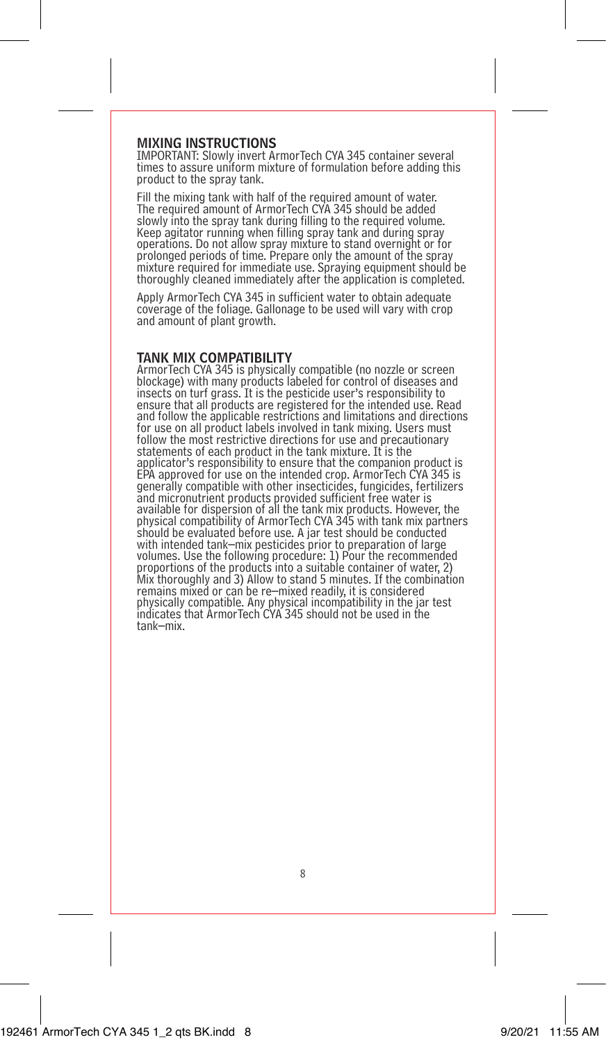## MIXING INSTRUCTIONS

IMPORTANT: Slowly invert ArmorTech CYA 345 container several times to assure uniform mixture of formulation before adding this product to the spray tank.

Fill the mixing tank with half of the required amount of water. The required amount of ArmorTech CYA 345 should be added slowly into the spray tank during filling to the required volume. Keep agitator running when filling spray tank and during spray operations. Do not allow spray mixture to stand overnight or for prolonged periods of time. Prepare only the amount of the spray mixture required for immediate use. Spraying equipment should be thoroughly cleaned immediately after the application is completed.

Apply ArmorTech CYA 345 in sufficient water to obtain adequate coverage of the foliage. Gallonage to be used will vary with crop and amount of plant growth.

### TANK MIX COMPATIBILITY

ArmorTech CYA 345 is physically compatible (no nozzle or screen blockage) with many products labeled for control of diseases and insects on turf grass. It is the pesticide user's responsibility to ensure that all products are registered for the intended use. Read and follow the applicable restrictions and limitations and directions for use on all product labels involved in tank mixing. Users must follow the most restrictive directions for use and precautionary statements of each product in the tank mixture. It is the applicator's responsibility to ensure that the companion product is EPA approved for use on the intended crop. ArmorTech CYA 345 is generally compatible with other insecticides, fungicides, fertilizers and micronutrient products provided sufficient free water is available for dispersion of all the tank mix products. However, the physical compatibility of ArmorTech CYA 345 with tank mix partners should be evaluated before use. A jar test should be conducted with intended tank–mix pesticides prior to preparation of large volumes. Use the following procedure: 1) Pour the recommended proportions of the products into a suitable container of water, 2) Mix thoroughly and 3) Allow to stand 5 minutes. If the combination remains mixed or can be re–mixed readily, it is considered physically compatible. Any physical incompatibility in the jar test indicates that ArmorTech CYA 345 should not be used in the tank–mix.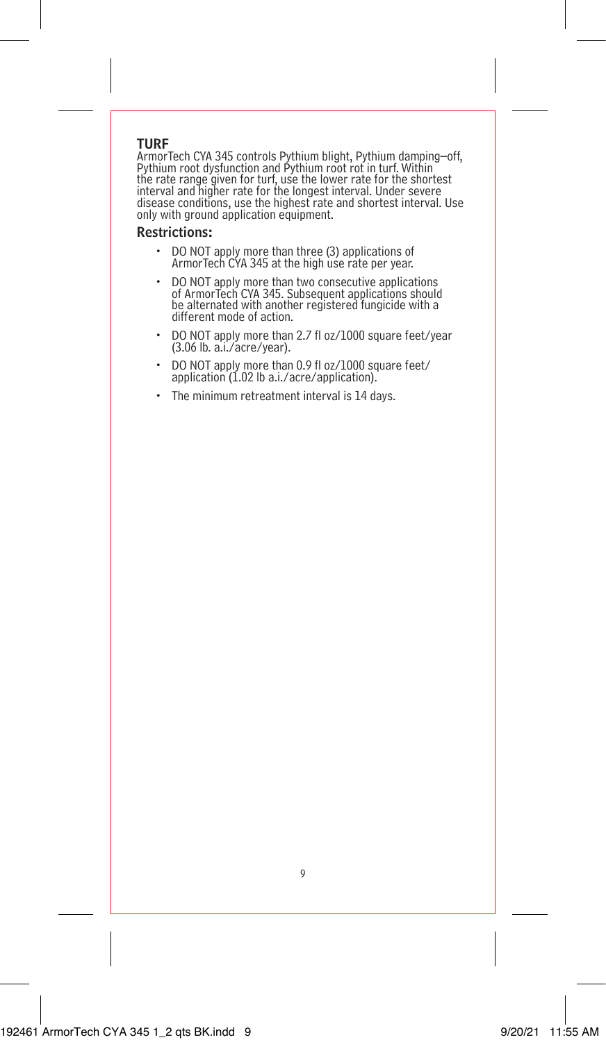## TURF

ArmorTech CYA 345 controls Pythium blight, Pythium damping–off,<br>Pythium root dysfunction and Pythium root rot in turf. Within<br>the rate range given for turf, use the lower rate for the shortest<br>interval and higher rate for disease conditions, use the highest rate and shortest interval. Use only with ground application equipment.

## Restrictions:

- DO NOT apply more than three (3) applications of ArmorTech CYA 345 at the high use rate per year.
- DO NOT apply more than two consecutive applications of ArmorTech CYA 345. Subsequent applications should be alternated with another registered fungicide with a different mode of action.
- DO NOT apply more than 2.7 fl oz/1000 square feet/year (3.06 lb. a.i./acre/year).
- DO NOT apply more than 0.9 fl oz/1000 square feet/ application (1.02 lb a.i./acre/application).
- The minimum retreatment interval is 14 days.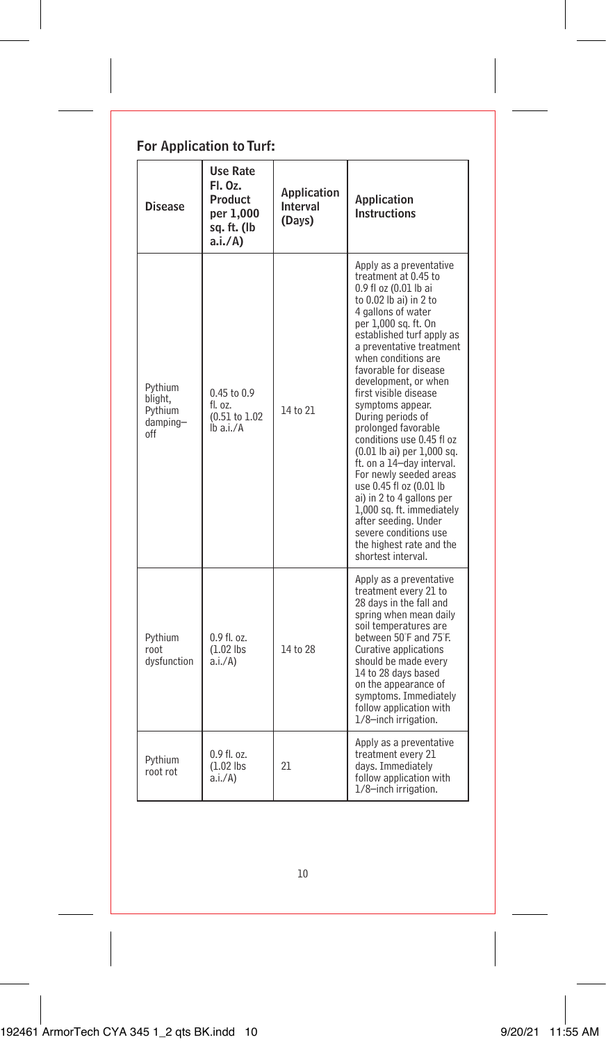| For Application to Turf: |
|--------------------------|
|--------------------------|

| Disease                                          | <b>Use Rate</b><br>FI. Oz.<br>Product<br>per 1,000<br>sq. ft. (lb<br>a.i./A) | Application<br>Interval<br>(Days) | Application<br>Instructions                                                                                                                                                                                                                                                                                                                                                                                                                                                                                                                                                                                                                                                          |
|--------------------------------------------------|------------------------------------------------------------------------------|-----------------------------------|--------------------------------------------------------------------------------------------------------------------------------------------------------------------------------------------------------------------------------------------------------------------------------------------------------------------------------------------------------------------------------------------------------------------------------------------------------------------------------------------------------------------------------------------------------------------------------------------------------------------------------------------------------------------------------------|
| Pvthium<br>blight,<br>Pythium<br>damping-<br>off | $0.45$ to $0.9$<br>$f$ l. $07.$<br>(0.51 to 1.02<br>lb a.i./A                | 14 to 21                          | Apply as a preventative<br>treatment at 0.45 to<br>0.9 fl oz (0.01 lb ai<br>to 0.02 lb ai) in 2 to<br>4 gallons of water<br>per 1,000 sq. ft. On<br>established turf apply as<br>a preventative treatment<br>when conditions are<br>favorable for disease<br>development, or when<br>first visible disease<br>symptoms appear.<br>During periods of<br>prolonged favorable<br>conditions use 0.45 fl oz<br>(0.01 lb ai) per 1,000 sq.<br>ft. on a 14-day interval.<br>For newly seeded areas<br>use 0.45 fl oz (0.01 lb<br>ai) in 2 to 4 gallons per<br>1,000 sq. ft. immediately<br>after seeding, Under<br>severe conditions use<br>the highest rate and the<br>shortest interval. |
| Pvthium<br>root<br>dysfunction                   | $0.9$ fl. $0.7$ .<br>(1.02)<br>a.i./A)                                       | 14 to 28                          | Apply as a preventative<br>treatment every 21 to<br>28 days in the fall and<br>spring when mean daily<br>soil temperatures are<br>between 50°F and 75°E.<br>Curative applications<br>should be made every<br>14 to 28 days based<br>on the appearance of<br>symptoms. Immediately<br>follow application with<br>1/8-inch irrigation.                                                                                                                                                                                                                                                                                                                                                 |
| Pvthium<br>root rot                              | 0.9f1.07.<br>(1.02)<br>a.i./A)                                               | 21                                | Apply as a preventative<br>treatment every 21<br>davs. Immediatelv<br>follow application with<br>1/8-inch irrigation.                                                                                                                                                                                                                                                                                                                                                                                                                                                                                                                                                                |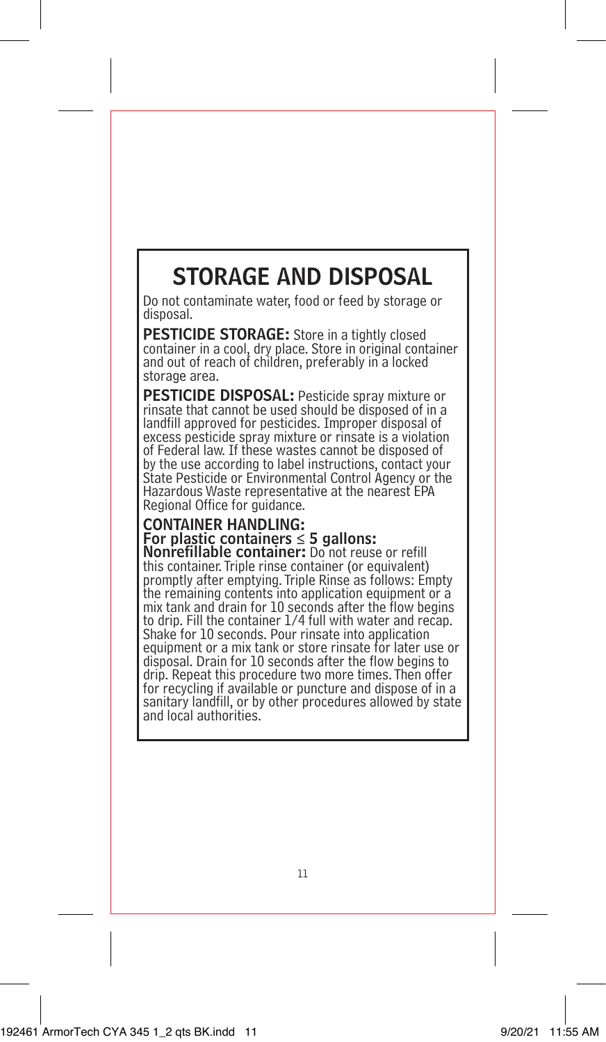## STORAGE AND DISPOSAL

Do not contaminate water, food or feed by storage or disposal.

PESTICIDE STORAGE: Store in a tightly closed container in a cool, dry place. Store in original container and out of reach of children, preferably in a locked storage area.

PESTICIDE DISPOSAL: Pesticide spray mixture or rinsate that cannot be used should be disposed of in a landfill approved for pesticides. Improper disposal of excess pesticide spray mixture or rinsate is a violation of Federal law. If these wastes cannot be disposed of by the use according to label instructions, contact your State Pesticide or Environmental Control Agency or the Hazardous Waste representative at the nearest EPA Regional Office for guidance.

## CONTAINER HANDLING: For plastic containers  $\leq$  5 gallons:

Nonrefillable container: Do not reuse or refill this container. Triple rinse container (or equivalent) promptly after emptying. Triple Rinse as follows: Empty the remaining contents into application equipment or a mix tank and drain for 10 seconds after the flow begins to drip. Fill the container 1/4 full with water and recap. Shake for 10 seconds. Pour rinsate into application equipment or a mix tank or store rinsate for later use or disposal. Drain for 10 seconds after the flow begins to drip. Repeat this procedure two more times. Then offer for recycling if available or puncture and dispose of in a sanitary landfill, or by other procedures allowed by state and local authorities.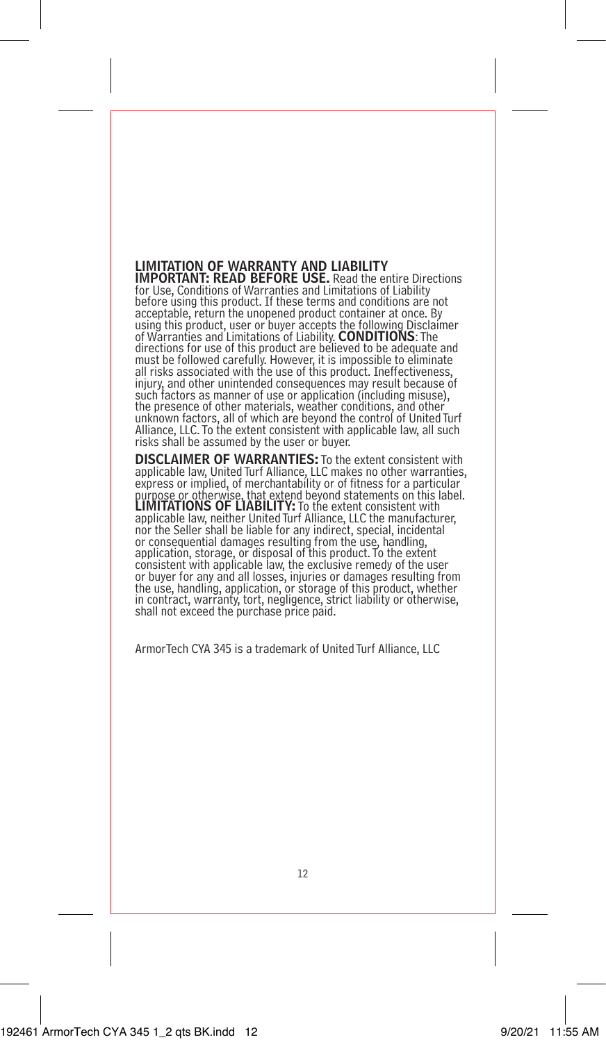## LIMITATION OF WARRANTY AND LIABILITY IMPORTANT: READ BEFORE USE. Read the entire Directions

for Use, Conditions of Warranties and Limitations of Liability before using this product. If these terms and conditions are not acceptable, return the unopened product container at once. By using this product, user or buyer accepts the following Disclaimer of Warranties and Limitations of Liability. CONDITIONS: The directions for use of this product are believed to be adequate and must be followed carefully. However, it is impossible to eliminate all risks associated with the use of this product. Ineffectiveness, injury, and other unintended consequences may result because of such factors as manner of use or application (including misuse), the presence of other materials, weather conditions, and other unknown factors, all of which are beyond the control of United Turf Alliance, LLC. To the extent consistent with applicable law, all such risks shall be assumed by the user or buyer.

DISCLAIMER OF WARRANTIES: To the extent consistent with applicable law, United Turf Alliance, LLC makes no other warranties, express or implied, of merchantability or of fitness for a particular purpose or otherwise, that extend beyond statements on this label.<br>LIMITATIONS OF LIABILITY: To the extent consistent with applicable law, neither United Turf Alliance, LLC the manufacturer, nor the Seller shall be liable for any indirect, special, incidental or consequential damages resulting from the use, handling, application, storage, or disposal of this product. To the extent consistent with applicable law, the exclusive remedy of the user or buyer for any and all losses, injuries or damages resulting from the use, handling, application, or storage of this product, whether in contract, warranty, tort, negligence, strict liability or otherwise, shall not exceed the purchase price paid.

ArmorTech CYA 345 is a trademark of United Turf Alliance, LLC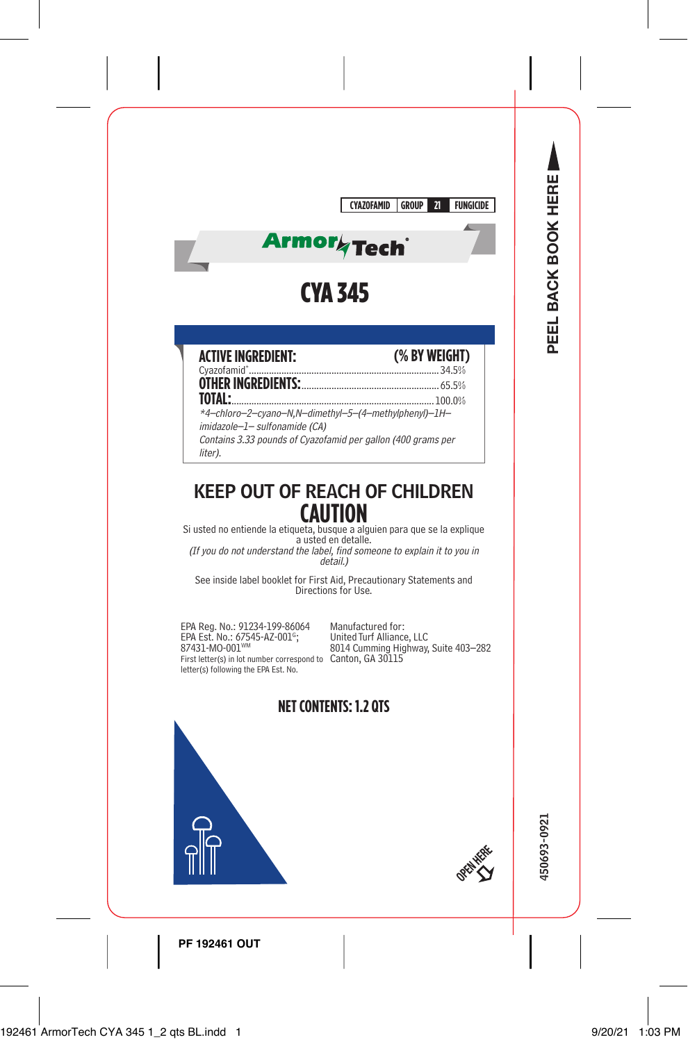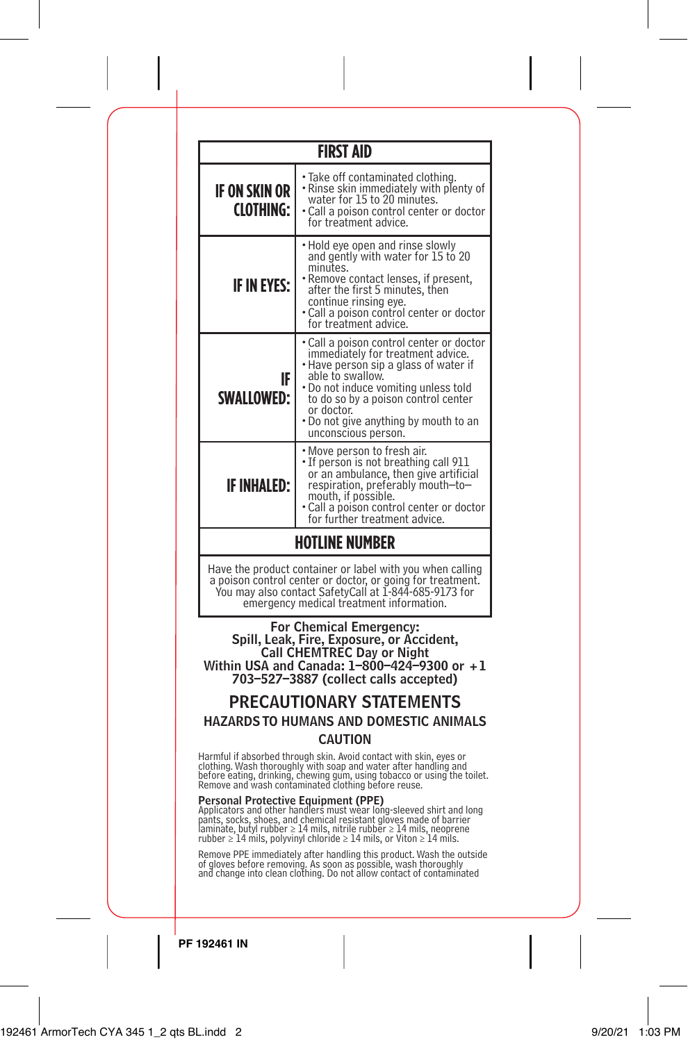|                                                                                                                                                                                                                              | <b>FIRST AID</b>                                                                                                                                                                                                                                                                                                                                        |  |  |  |  |
|------------------------------------------------------------------------------------------------------------------------------------------------------------------------------------------------------------------------------|---------------------------------------------------------------------------------------------------------------------------------------------------------------------------------------------------------------------------------------------------------------------------------------------------------------------------------------------------------|--|--|--|--|
| IF ON SKIN OR<br><b>CLOTHING:</b>                                                                                                                                                                                            | · Take off contaminated clothing.<br>• Rinse skin immediately with plenty of<br>water for 15 to 20 minutes.<br>• Call a poison control center or doctor<br>for treatment advice.                                                                                                                                                                        |  |  |  |  |
| <b>IF IN EYES:</b>                                                                                                                                                                                                           | • Hold eye open and rinse slowly<br>and gently with water for 15 to 20<br>minutes.<br>Remove contact lenses, if present,<br>after the first 5 minutes, then<br>continue rinsing eye.<br>• Call a poison control center or doctor<br>for treatment advice.                                                                                               |  |  |  |  |
| IF<br><b>SWALLOWED:</b>                                                                                                                                                                                                      | • Call a poison control center or doctor<br>immediately for treatment advice.<br>• Have person sip a glass of water if<br>able to swallow.<br>• Do not induce vomiting unless told<br>to do so by a poison control center<br>or doctor.<br>. Do not give anything by mouth to an<br>unconscious person.                                                 |  |  |  |  |
| <b>IF INHALED:</b>                                                                                                                                                                                                           | • Move person to fresh air.<br>• If person is not breathing call 911<br>or an ambulance, then give artificial<br>respiration, preferably mouth-to-<br>mouth, if possible.<br>Call a poison control center or doctor<br>for further treatment advice.                                                                                                    |  |  |  |  |
|                                                                                                                                                                                                                              | <b>HOTLINE NUMBER</b>                                                                                                                                                                                                                                                                                                                                   |  |  |  |  |
| Have the product container or label with you when calling<br>a poison control center or doctor, or going for treatment.<br>You may also contact SafetyCall at 1-844-685-9173 for<br>emergency medical treatment information. |                                                                                                                                                                                                                                                                                                                                                         |  |  |  |  |
|                                                                                                                                                                                                                              | For Chemical Emergency:<br>Spill, Leak, Fire, Exposure, or Accident,<br>Call CHEMTREC Day or Night<br>Within USA and Canada: $1-800-424-9300$ or $+1$<br>703-527-3887 (collect calls accepted)<br><b>PRECAUTIONARY STATEMENTS</b><br><b>HAZARDS TO HUMANS AND DOMESTIC ANIMALS</b>                                                                      |  |  |  |  |
| <b>CAUTION</b>                                                                                                                                                                                                               |                                                                                                                                                                                                                                                                                                                                                         |  |  |  |  |
|                                                                                                                                                                                                                              | Harmful if absorbed through skin. Avoid contact with skin, eyes or<br>clothing. Wash thoroughly with soap and water after handling and<br>before eating, drinking, chewing gum, using tobacco or using the toilet.<br>Remove and wash contaminated clothing before reuse.                                                                               |  |  |  |  |
|                                                                                                                                                                                                                              | Personal Protective Equipment (PPE)<br>Applicators and other handlers must wear long-sleeved shirt and long<br>pants, socks, shoes, and chemical resistant gloves made of barrier<br>laminate, butyl rubber $\geq 14$ mils, nitrile rubber $\geq 14$ mils, neoprene<br>rubber $\geq 14$ mils, polyvinyl chloride $\geq 14$ mils, or Viton $\geq 14$ mil |  |  |  |  |
| Remove PPE immediately after handling this product. Wash the outside<br>of gloves before removing. As soon as possible, wash thoroughly<br>and change into clean clothing. Do not allow contact of contaminated              |                                                                                                                                                                                                                                                                                                                                                         |  |  |  |  |
|                                                                                                                                                                                                                              |                                                                                                                                                                                                                                                                                                                                                         |  |  |  |  |

 $\overline{\phantom{a}}$ 

 $\overline{\phantom{a}}$ 

 $\overline{1}$ 

 $\begin{array}{c} \hline \end{array}$ 

 $\overline{\phantom{a}}$ 

L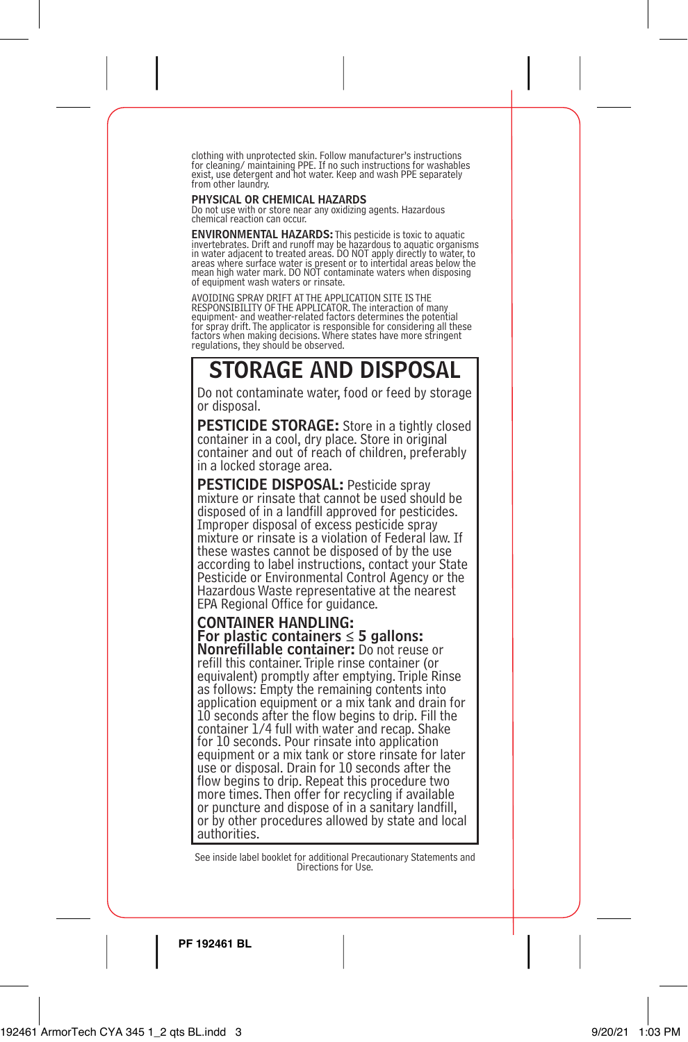clothing with unprotected skin. Follow manufacturer's instructions for cleaning/ maintaining PPE. If no such instructions for washables exist, use detergent and hot water. Keep and wash PPE separately from other laundry.

### PHYSICAL OR CHEMICAL HAZARDS

Do not use with or store near any oxidizing agents. Hazardous chemical reaction can occur.

**ENVIRONMENTAL HAZARDS:** This pesticide is toxic to aquatic<br>invertebrates. Drift and runoff may be hazardous to aquatic organisms<br>in water adjacent to treated areas. DO NOT apply directly to water, to areas where surface water is present or to intertidal areas below the<br>mean high water mark. DO NOT contaminate waters when disposing of equipment wash waters or rinsate.

AVOIDING SPRAY DRIFT AT THE APPLICATION SITE IS THE RESPONSIBILITY OF THE APPLICATOR. The interaction of many equipment- and weather-related factors determines the potential for spray drift. The applicator is responsible for considering all these factors when making decisions. Where states have more stringent regulations, they should be observed.

## STORAGE AND DISPOSAL

Do not contaminate water, food or feed by storage or disposal.

**PESTICIDE STORAGE:** Store in a tightly closed container in a cool, dry place. Store in original container and out of reach of children, preferably in a locked storage area.

PESTICIDE DISPOSAL: Pesticide spray mixture or rinsate that cannot be used should be disposed of in a landfill approved for pesticides. Improper disposal of excess pesticide spray mixture or rinsate is a violation of Federal law. If these wastes cannot be disposed of by the use according to label instructions, contact your State Pesticide or Environmental Control Agency or the Hazardous Waste representative at the nearest EPA Regional Office for guidance.

## CONTAINER HANDLING: For plastic containers  $\leq$  5 gallons:

Nonrefillable container: Do not reuse or refill this container. Triple rinse container (or equivalent) promptly after emptying. Triple Rinse as follows: Empty the remaining contents into application equipment or a mix tank and drain for 10 seconds after the flow begins to drip. Fill the container 1/4 full with water and recap. Shake for 10 seconds. Pour rinsate into application equipment or a mix tank or store rinsate for later use or disposal. Drain for 10 seconds after the flow begins to drip. Repeat this procedure two more times. Then offer for recycling if available or puncture and dispose of in a sanitary landfill, or by other procedures allowed by state and local authorities.

See inside label booklet for additional Precautionary Statements and Directions for Use.

**PF 192461 BL**